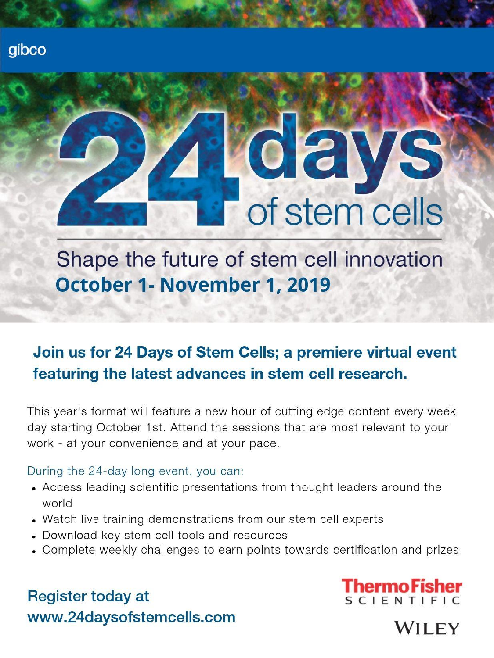# $0e$ of stem cells

Shape the future of stem cell innovation October 1- November 1, 2019

## Join us for 24 Days of Stem Cells; a premiere virtual event featuring the latest advances in stem cell research.

This year's format will feature a new hour of cutting edge content every week day starting October 1st. Attend the sessions that are most relevant to your work - at your convenience and at your pace.

### During the 24-day long event, you can:

- Access leading scientific presentations from thought leaders around the world
- Watch live training demonstrations from our stem cell experts
- Download key stem cell tools and resources
- Complete weekly challenges to earn points towards certification and prizes

## **Register today at** www.24daysofstemcells.com



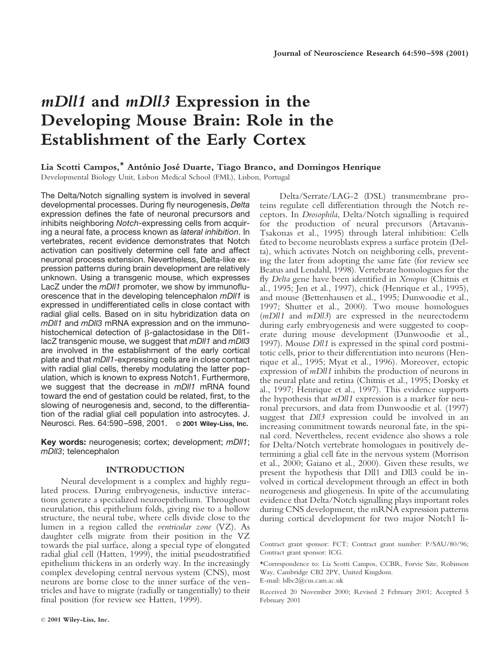## *mDll1* **and** *mDll3* **Expression in the Developing Mouse Brain: Role in the Establishment of the Early Cortex**

#### **Lia Scotti Campos,**\* **Anto´nio Jose´ Duarte, Tiago Branco, and Domingos Henrique**

Developmental Biology Unit, Lisbon Medical School (FML), Lisbon, Portugal

The Delta/Notch signalling system is involved in several developmental processes. During fly neurogenesis, *Delta* expression defines the fate of neuronal precursors and inhibits neighboring *Notch*-expressing cells from acquiring a neural fate, a process known as *lateral inhibition*. In vertebrates, recent evidence demonstrates that Notch activation can positively determine cell fate and affect neuronal process extension. Nevertheless, Delta-like expression patterns during brain development are relatively unknown. Using a transgenic mouse, which expresses LacZ under the *mDll1* promoter, we show by immunofluorescence that in the developing telencephalon *mDll1* is expressed in undifferentiated cells in close contact with radial glial cells. Based on in situ hybridization data on *mDll1* and *mDll3* mRNA expression and on the immunohistochemical detection of  $\beta$ -galactosidase in the DII1lacZ transgenic mouse, we suggest that *mDll1* and *mDll3* are involved in the establishment of the early cortical plate and that *mDll1*-expressing cells are in close contact with radial glial cells, thereby modulating the latter population, which is known to express Notch1. Furthermore, we suggest that the decrease in *mDll1* mRNA found toward the end of gestation could be related, first, to the slowing of neurogenesis and, second, to the differentiation of the radial glial cell population into astrocytes. J. Neurosci. Res. 64:590–598, 2001. © **2001 Wiley-Liss, Inc.**

**Key words:** neurogenesis; cortex; development; *mDll1*; *mDll3*; telencephalon

#### **INTRODUCTION**

Neural development is a complex and highly regulated process. During embryogenesis, inductive interactions generate a specialized neuroepithelium. Throughout neurulation, this epithelium folds, giving rise to a hollow structure, the neural tube, where cells divide close to the lumen in a region called the *ventricular zone* (VZ). As daughter cells migrate from their position in the VZ towards the pial surface, along a special type of elongated radial glial cell (Hatten, 1999), the initial pseudostratified epithelium thickens in an orderly way. In the increasingly complex developing central nervous system (CNS), most neurons are borne close to the inner surface of the ventricles and have to migrate (radially or tangentially) to their final position (for review see Hatten, 1999).

Delta/Serrate/LAG-2 (DSL) transmembrane proteins regulate cell differentiation through the Notch receptors. In *Drosophila*, Delta/Notch signalling is required for the production of neural precursors (Artavanis-Tsakonas et al., 1995) through lateral inhibition: Cells fated to become neuroblasts express a surface protein (Delta), which activates Notch on neighboring cells, preventing the later from adopting the same fate (for review see Beatus and Lendahl, 1998). Vertebrate homologues for the fly *Delta* gene have been identified in *Xenopus* (Chitnis et al., 1995; Jen et al., 1997), chick (Henrique et al., 1995), and mouse (Bettenhausen et al., 1995; Dunwoodie et al., 1997; Shutter et al., 2000). Two mouse homologues (*mDll1* and *mDll3*) are expressed in the neurectoderm during early embryogenesis and were suggested to cooperate during mouse development (Dunwoodie et al., 1997). Mouse *Dll1* is expressed in the spinal cord postmitotic cells, prior to their differentiation into neurons (Henrique et al., 1995; Myat et al., 1996). Moreover, ectopic expression of *mDll1* inhibits the production of neurons in the neural plate and retina (Chitnis et al., 1995; Dorsky et al., 1997; Henrique et al., 1997). This evidence supports the hypothesis that *mDll1* expression is a marker for neuronal precursors, and data from Dunwoodie et al. (1997) suggest that *Dll3* expression could be involved in an increasing commitment towards neuronal fate, in the spinal cord. Nevertheless, recent evidence also shows a role for Delta/Notch vertebrate homologues in positively determining a glial cell fate in the nervous system (Morrison et al., 2000; Gaiano et al., 2000). Given these results, we present the hypothesis that Dll1 and Dll3 could be involved in cortical development through an effect in both neurogenesis and gliogenesis. In spite of the accumulating evidence that Delta/Notch signalling plays important roles during CNS development, the mRNA expression patterns during cortical development for two major Notch1 li-

Contract grant sponsor: FCT; Contract grant number: P/SAU/80/96; Contract grant sponsor: ICG.

\*Correspondence to: Lia Scotti Campos, CCBR, Forvie Site, Robinson Way, Cambridge CB2 2PY, United Kingdom.

E-mail: lslbc2@cus.cam.ac.uk

Received 20 November 2000; Revised 2 February 2001; Accepted 5 February 2001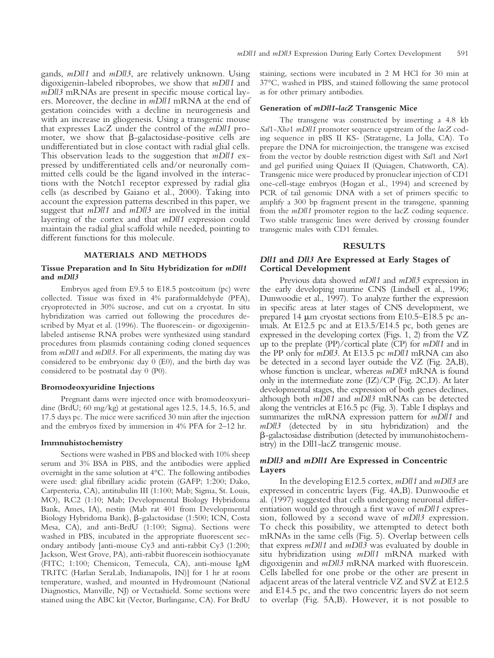digoxigenin-labeled riboprobes, we show that *mDll1* and *mDll3* mRNAs are present in specific mouse cortical layers. Moreover, the decline in *mDll1* mRNA at the end of gestation coincides with a decline in neurogenesis and with an increase in gliogenesis. Using a transgenic mouse that expresses LacZ under the control of the *mDll1* promoter, we show that  $\beta$ -galactosidase-positive cells are undifferentiated but in close contact with radial glial cells. This observation leads to the suggestion that *mDll1* expressed by undifferentiated cells and/or neuronally committed cells could be the ligand involved in the interactions with the Notch1 receptor expressed by radial glia cells (as described by Gaiano et al., 2000). Taking into account the expression patterns described in this paper, we suggest that *mDll1* and *mDll3* are involved in the initial layering of the cortex and that *mDll1* expression could maintain the radial glial scaffold while needed, pointing to different functions for this molecule.

#### **MATERIALS AND METHODS**

#### **Tissue Preparation and In Situ Hybridization for** *mDll1* **and** *mDll3*

Embryos aged from E9.5 to E18.5 postcoitum (pc) were collected. Tissue was fixed in 4% paraformaldehyde (PFA), cryoprotected in 30% sucrose, and cut on a cryostat. In situ hybridization was carried out following the procedures described by Myat et al. (1996). The fluorescein- or digoxigeninlabeled antisense RNA probes were synthesized using standard procedures from plasmids containing coding cloned sequences from *mDll1* and *mDll3*. For all experiments, the mating day was considered to be embryonic day 0 (E0), and the birth day was considered to be postnatal day 0 (P0).

#### **Bromodeoxyuridine Injections**

Pregnant dams were injected once with bromodeoxyuridine (BrdU; 60 mg/kg) at gestational ages 12.5, 14.5, 16.5, and 17.5 days pc. The mice were sacrificed 30 min after the injection and the embryos fixed by immersion in 4% PFA for 2–12 hr.

#### **Immnuhistochemistry**

Sections were washed in PBS and blocked with 10% sheep serum and 3% BSA in PBS, and the antibodies were applied overnight in the same solution at 4°C. The following antibodies were used: glial fibrillary acidic protein (GAFP; 1:200; Dako, Carpenteria, CA), antitubulin III (1:100; Mab; Sigma, St. Louis, MO), RC2 (1:10; Mab; Developmental Biology Hybridoma Bank, Ames, IA), nestin (Mab rat 401 from Developmental Biology Hybridoma Bank),  $\beta$ -galactosidase (1:500; ICN, Costa Mesa, CA), and anti-BrdU (1:100; Sigma). Sections were washed in PBS, incubated in the appropriate fluorescent secondary antibody [anti-mouse Cy3 and anti-rabbit Cy3 (1:200; Jackson, West Grove, PA), anti-rabbit fluorescein isothiocyanate (FITC; 1:100; Chemicon, Temecula, CA), anti-mouse IgM TRITC (Harlan SeraLab, Indianapolis, IN)] for 1 hr at room temperature, washed, and mounted in Hydromount (National Diagnostics, Manville, NJ) or Vectashield. Some sections were stained using the ABC kit (Vector, Burlingame, CA). For BrdU

staining, sections were incubated in 2 M HCl for 30 min at 37°C, washed in PBS, and stained following the same protocol as for other primary antibodies.

#### **Generation of** *mDll1-lacZ* **Transgenic Mice**

The transgene was constructed by inserting a 4.8 kb *Sal*1-*Xho*1 *mDll1* promoter sequence upstream of the *lacZ* coding sequence in pBS II KS- (Stratagene, La Jolla, CA). To prepare the DNA for microinjection, the transgene was excised from the vector by double restriction digest with *Sal*1 and *Not*1 and gel purified using Quiaex II (Quiagen, Chatsworth, CA). Transgenic mice were produced by pronuclear injection of CD1 one-cell-stage embryos (Hogan et al., 1994) and screened by PCR of tail genomic DNA with a set of primers specific to amplify a 300 bp fragment present in the transgene, spanning from the *mDll1* promoter region to the lacZ coding sequence. Two stable transgenic lines were derived by crossing founder transgenic males with CD1 females.

#### **RESULTS**

#### *Dll1* **and** *Dll3* **Are Expressed at Early Stages of Cortical Development**

Previous data showed *mDll1* and *mDll3* expression in the early developing murine CNS (Lindsell et al., 1996; Dunwoodie et al., 1997). To analyze further the expression in specific areas at later stages of CNS development, we prepared 14  $\mu$ m cryostat sections from E10.5–E18.5 pc animals. At E12.5 pc and at E13.5/E14.5 pc, both genes are expressed in the developing cortex (Figs. 1, 2) from the VZ up to the preplate (PP)/cortical plate (CP) for *mDll1* and in the PP only for *mDll3*. At E13.5 pc *mDll1* mRNA can also be detected in a second layer outside the VZ (Fig. 2A,B), whose function is unclear, whereas *mDll3* mRNA is found only in the intermediate zone (IZ)/CP (Fig. 2C,D). At later developmental stages, the expression of both genes declines, although both *mDll1* and *mDll3* mRNAs can be detected along the ventricles at E16.5 pc (Fig. 3). Table I displays and summarizes the mRNA expression pattern for *mDll1* and *mDll3* (detected by in situ hybridization) and the b-galactosidase distribution (detected by immunohistochemistry) in the Dll1-lacZ transgenic mouse.

#### *mDll3* **and** *mDll1* **Are Expressed in Concentric Layers**

In the developing E12.5 cortex, *mDll1* and *mDll3* are expressed in concentric layers (Fig. 4A,B). Dunwoodie et al. (1997) suggested that cells undergoing neuronal differentiation would go through a first wave of *mDll1* expression, followed by a second wave of *mDll3* expression. To check this possibility, we attempted to detect both mRNAs in the same cells (Fig. 5). Overlap between cells that express *mDll1* and *mDll3* was evaluated by double in situ hybridization using *mDll1* mRNA marked with digoxigenin and *mDll3* mRNA marked with fluorescein. Cells labelled for one probe or the other are present in adjacent areas of the lateral ventricle VZ and SVZ at E12.5 and E14.5 pc, and the two concentric layers do not seem to overlap (Fig. 5A,B). However, it is not possible to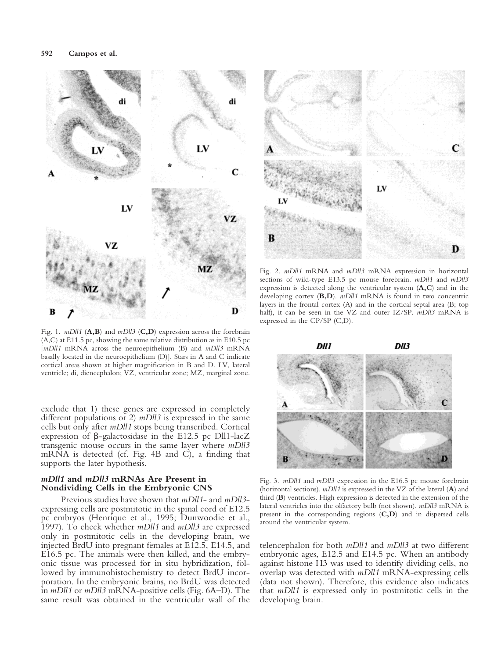

Fig. 1. *mDll1* (**A,B**) and *mDll3* (**C,D**) expression across the forebrain (A,C) at E11.5 pc, showing the same relative distribution as in E10.5 pc [*mDll1* mRNA across the neuroepithelium (B) and *mDll3* mRNA basally located in the neuroepithelium (D)]. Stars in A and C indicate cortical areas shown at higher magnification in B and D. LV, lateral ventricle; di, diencephalon; VZ, ventricular zone; MZ, marginal zone.

exclude that 1) these genes are expressed in completely different populations or 2) *mDll3* is expressed in the same cells but only after *mDll1* stops being transcribed. Cortical expression of  $\beta$ -galactosidase in the E12.5 pc Dll1-lacZ transgenic mouse occurs in the same layer where *mDll3* mRNA is detected (cf. Fig. 4B and C), a finding that supports the later hypothesis.

#### *mDll1* **and** *mDll3* **mRNAs Are Present in Nondividing Cells in the Embryonic CNS**

Previous studies have shown that *mDll1*- and *mDll3* expressing cells are postmitotic in the spinal cord of E12.5 pc embryos (Henrique et al., 1995; Dunwoodie et al., 1997). To check whether *mDll1* and *mDll3* are expressed only in postmitotic cells in the developing brain, we injected BrdU into pregnant females at E12.5, E14.5, and E16.5 pc. The animals were then killed, and the embryonic tissue was processed for in situ hybridization, followed by immunohistochemistry to detect BrdU incorporation. In the embryonic brains, no BrdU was detected in *mDll1* or *mDll3* mRNA-positive cells (Fig. 6A–D). The same result was obtained in the ventricular wall of the



Fig. 2. *mDll1* mRNA and *mDll3* mRNA expression in horizontal sections of wild-type E13.5 pc mouse forebrain. *mDll1* and *mDll3* expression is detected along the ventricular system (**A,C**) and in the developing cortex (**B,D**). *mDll1* mRNA is found in two concentric layers in the frontal cortex (A) and in the cortical septal area (B; top half), it can be seen in the VZ and outer IZ/SP. *mDll3* mRNA is expressed in the CP/SP (C,D).



Fig. 3. *mDll1* and *mDll3* expression in the E16.5 pc mouse forebrain (horizontal sections). *mDll1* is expressed in the VZ of the lateral (**A**) and third (**B**) ventricles. High expression is detected in the extension of the lateral ventricles into the olfactory bulb (not shown). *mDll3* mRNA is present in the corresponding regions (**C,D**) and in dispersed cells around the ventricular system.

telencephalon for both *mDll1* and *mDll3* at two different embryonic ages, E12.5 and E14.5 pc. When an antibody against histone H3 was used to identify dividing cells, no overlap was detected with *mDll1* mRNA-expressing cells (data not shown). Therefore, this evidence also indicates that *mDll1* is expressed only in postmitotic cells in the developing brain.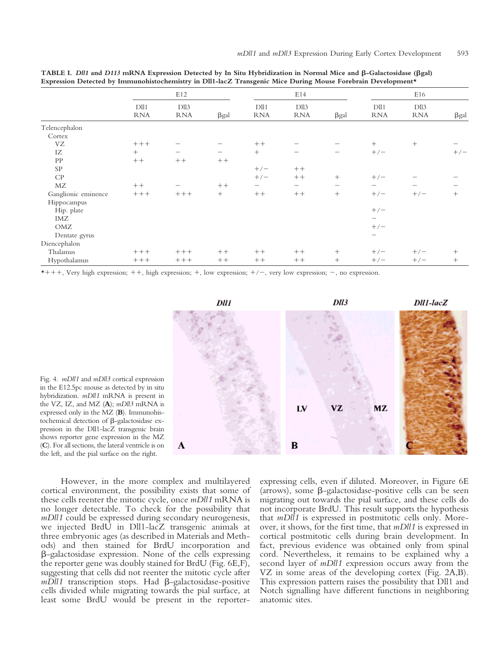|                     | E12                            |                    |                   | E14                            |                          |             | E16                            |                    |             |
|---------------------|--------------------------------|--------------------|-------------------|--------------------------------|--------------------------|-------------|--------------------------------|--------------------|-------------|
|                     | D <sub>II1</sub><br><b>RNA</b> | Dll3<br><b>RNA</b> | $\beta gal$       | D <sub>II1</sub><br><b>RNA</b> | Dll3<br><b>RNA</b>       | $\beta gal$ | D <sub>II1</sub><br><b>RNA</b> | Dll3<br><b>RNA</b> | $\beta$ gal |
| Telencephalon       |                                |                    |                   |                                |                          |             |                                |                    |             |
| Cortex              |                                |                    |                   |                                |                          |             |                                |                    |             |
| VZ                  | $+++$                          |                    |                   | $++$                           |                          |             | $^{+}$                         | $^{+}$             |             |
| IZ                  | $^{+}$                         | —                  | $\qquad \qquad -$ | $+$                            | $\overline{\phantom{m}}$ | —           | $+/-$                          |                    | $+/-$       |
| PP                  | $++$                           | $++$               | $++$              |                                |                          |             |                                |                    |             |
| <b>SP</b>           |                                |                    |                   | $+/-$                          | $++$                     |             |                                |                    |             |
| CP                  |                                |                    |                   | $+/-$                          | $++$                     | $+$         | $+/-$                          |                    |             |
| MZ                  | $++$                           |                    | $++$              |                                | -                        |             | $\qquad \qquad$                |                    |             |
| Ganglionic eminence | $+++$                          | $+++$              | $^{+}$            | $++$                           | $++$                     | $+$         | $+/-$                          | $+/-$              | $^{+}$      |
| Hippocampus         |                                |                    |                   |                                |                          |             |                                |                    |             |
| Hip. plate          |                                |                    |                   |                                |                          |             | $+/-$                          |                    |             |
| IMZ                 |                                |                    |                   |                                |                          |             | $\qquad \qquad -$              |                    |             |
| OMZ                 |                                |                    |                   |                                |                          |             | $+/-$                          |                    |             |
| Dentate gyrus       |                                |                    |                   |                                |                          |             | $\overline{\phantom{m}}$       |                    |             |
| Diencephalon        |                                |                    |                   |                                |                          |             |                                |                    |             |
| Thalamus            | $+++$                          | $+++$              | $++$              | $++$                           | $++$                     | $^{+}$      | $+/-$                          | $+/-$              | $^{+}$      |
| Hypothalamus        | $+++$                          | $++++$             | $++$              | $++$                           | $++$                     | $^{+}$      | $+/-$                          | $+/-$              | $^{+}$      |

**TABLE I.** *Dll1* **and** *D113* **mRNA Expression Detected by In Situ Hybridization in Normal Mice and** b**-Galactosidase (**b**gal) Expression Detected by Immunohistochemistry in Dll1-lacZ Transgenic Mice During Mouse Forebrain Development\***

 $*+++$ , Very high expression;  $++$ , high expression;  $+$ , low expression;  $+/-$ , very low expression;  $-$ , no expression.



However, in the more complex and multilayered cortical environment, the possibility exists that some of these cells reenter the mitotic cycle, once *mDll1* mRNA is no longer detectable. To check for the possibility that *mDll1* could be expressed during secondary neurogenesis, we injected BrdU in Dll1-lacZ transgenic animals at three embryonic ages (as described in Materials and Methods) and then stained for BrdU incorporation and  $\beta$ -galactosidase expression. None of the cells expressing the reporter gene was doubly stained for BrdU (Fig. 6E,F), suggesting that cells did not reenter the mitotic cycle after  $mDll1$  transcription stops. Had  $\beta$ -galactosidase-positive cells divided while migrating towards the pial surface, at least some BrdU would be present in the reporterexpressing cells, even if diluted. Moreover, in Figure 6E (arrows), some  $\beta$ -galactosidase-positive cells can be seen migrating out towards the pial surface, and these cells do not incorporate BrdU. This result supports the hypothesis that *mDll1* is expressed in postmitotic cells only. Moreover, it shows, for the first time, that *mDll1* is expressed in cortical postmitotic cells during brain development. In fact, previous evidence was obtained only from spinal cord. Nevertheless, it remains to be explained why a second layer of *mDll1* expression occurs away from the VZ in some areas of the developing cortex (Fig. 2A,B). This expression pattern raises the possibility that Dll1 and Notch signalling have different functions in neighboring anatomic sites.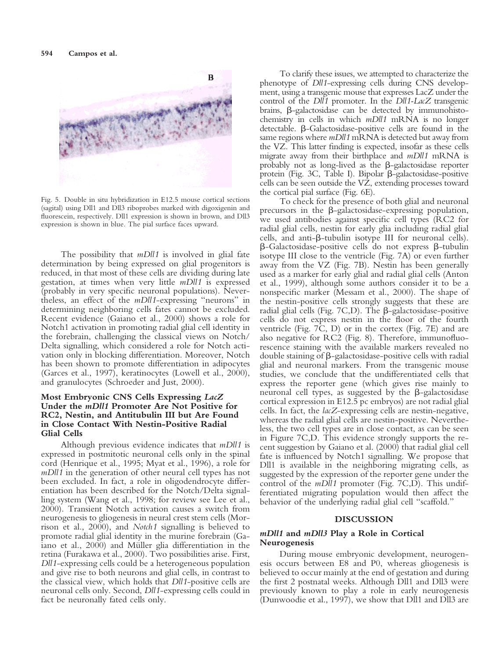

Fig. 5. Double in situ hybridization in E12.5 mouse cortical sections (sagital) using Dll1 and Dll3 riboprobes marked with digoxigenin and fluorescein, respectively. Dll1 expression is shown in brown, and Dll3 expression is shown in blue. The pial surface faces upward.

The possibility that *mDll1* is involved in glial fate determination by being expressed on glial progenitors is reduced, in that most of these cells are dividing during late gestation, at times when very little *mDll1* is expressed (probably in very specific neuronal populations). Nevertheless, an effect of the *mDll1*-expressing "neurons" in determining neighboring cells fates cannot be excluded. Recent evidence (Gaiano et al., 2000) shows a role for Notch1 activation in promoting radial glial cell identity in the forebrain, challenging the classical views on Notch/ Delta signalling, which considered a role for Notch activation only in blocking differentiation. Moreover, Notch has been shown to promote differentiation in adipocytes (Garces et al., 1997), keratinocytes (Lowell et al., 2000), and granulocytes (Schroeder and Just, 2000).

#### **Most Embryonic CNS Cells Expressing** *LacZ* **Under the** *mDll1* **Promoter Are Not Positive for RC2, Nestin, and Antitubulin III but Are Found in Close Contact With Nestin-Positive Radial Glial Cells**

Although previous evidence indicates that *mDll1* is expressed in postmitotic neuronal cells only in the spinal cord (Henrique et al., 1995; Myat et al., 1996), a role for *mDll1* in the generation of other neural cell types has not been excluded. In fact, a role in oligodendrocyte differentiation has been described for the Notch/Delta signalling system (Wang et al., 1998; for review see Lee et al., 2000). Transient Notch activation causes a switch from neurogenesis to gliogenesis in neural crest stem cells (Morrison et al., 2000), and *Notch1* signalling is believed to promote radial glial identity in the murine forebrain (Gaiano et al., 2000) and Müller glia differentiation in the retina (Furakawa et al., 2000). Two possibilities arise. First, *Dll1*-expressing cells could be a heterogeneous population and give rise to both neurons and glial cells, in contrast to the classical view, which holds that *Dll1*-positive cells are neuronal cells only. Second, *Dll1*-expressing cells could in fact be neuronally fated cells only.

To clarify these issues, we attempted to characterize the phenotype of *Dll1*-expressing cells during CNS development, using a transgenic mouse that expresses LacZ under the control of the *Dll1* promoter. In the *Dll1-LacZ* transgenic brains, b-galactosidase can be detected by immunohistochemistry in cells in which *mDll1* mRNA is no longer detectable.  $\beta$ -Galactosidase-positive cells are found in the same regions where *mDll1* mRNA is detected but away from the VZ. This latter finding is expected, insofar as these cells migrate away from their birthplace and *mDll1* mRNA is probably not as long-lived as the  $\beta$ -galactosidase reporter protein (Fig. 3C, Table I). Bipolar  $\beta$ -galactosidase-positive cells can be seen outside the VZ, extending processes toward the cortical pial surface (Fig. 6E).

To check for the presence of both glial and neuronal precursors in the  $\beta$ -galactosidase-expressing population, we used antibodies against specific cell types (RC2 for radial glial cells, nestin for early glia including radial glial cells, and anti- $\beta$ -tubulin isotype III for neuronal cells).  $\beta$ -Galactosidase-positive cells do not express  $\beta$ -tubulin isotype III close to the ventricle (Fig. 7A) or even further away from the VZ (Fig. 7B). Nestin has been generally used as a marker for early glial and radial glial cells (Anton et al., 1999), although some authors consider it to be a nonspecific marker (Messam et al., 2000). The shape of the nestin-positive cells strongly suggests that these are radial glial cells (Fig. 7C,D). The  $\beta$ -galactosidase-positive cells do not express nestin in the floor of the fourth ventricle (Fig. 7C, D) or in the cortex (Fig. 7E) and are also negative for RC2 (Fig. 8). Therefore, immunofluorescence staining with the available markers revealed no double staining of  $\beta$ -galactosidase-positive cells with radial glial and neuronal markers. From the transgenic mouse studies, we conclude that the undifferentiated cells that express the reporter gene (which gives rise mainly to neuronal cell types, as suggested by the  $\beta$ -galactosidase cortical expression in E12.5 pc embryos) are not radial glial cells. In fact, the *lacZ*-expressing cells are nestin-negative, whereas the radial glial cells are nestin-positive. Nevertheless, the two cell types are in close contact, as can be seen in Figure 7C,D. This evidence strongly supports the recent suggestion by Gaiano et al. (2000) that radial glial cell fate is influenced by Notch1 signalling. We propose that Dll1 is available in the neighboring migrating cells, as suggested by the expression of the reporter gene under the control of the *mDll1* promoter (Fig. 7C,D). This undifferentiated migrating population would then affect the behavior of the underlying radial glial cell "scaffold."

#### **DISCUSSION**

#### *mDll1* **and** *mDll3* **Play a Role in Cortical Neurogenesis**

During mouse embryonic development, neurogenesis occurs between E8 and P0, whereas gliogenesis is believed to occur mainly at the end of gestation and during the first 2 postnatal weeks. Although Dll1 and Dll3 were previously known to play a role in early neurogenesis (Dunwoodie et al., 1997), we show that Dll1 and Dll3 are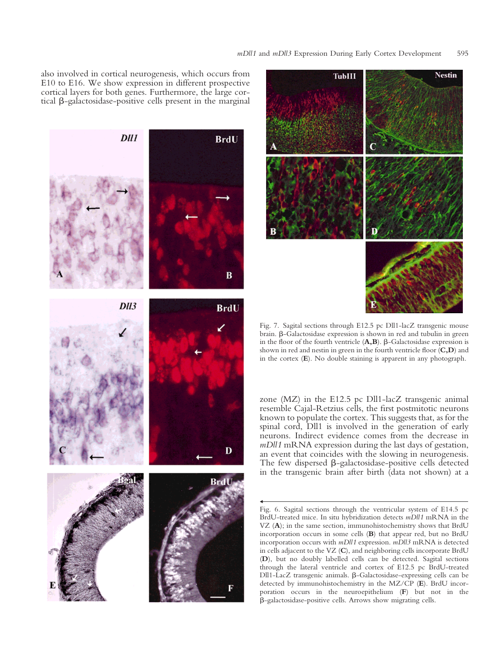also involved in cortical neurogenesis, which occurs from E10 to E16. We show expression in different prospective cortical layers for both genes. Furthermore, the large cortical  $\beta$ -galactosidase-positive cells present in the marginal





Fig. 7. Sagital sections through E12.5 pc Dll1-lacZ transgenic mouse brain.  $\beta$ -Galactosidase expression is shown in red and tubulin in green in the floor of the fourth ventricle  $(A,B)$ .  $\beta$ -Galactosidase expression is shown in red and nestin in green in the fourth ventricle floor (**C,D**) and in the cortex (**E**). No double staining is apparent in any photograph.

zone (MZ) in the E12.5 pc Dll1-lacZ transgenic animal resemble Cajal-Retzius cells, the first postmitotic neurons known to populate the cortex. This suggests that, as for the spinal cord, Dll1 is involved in the generation of early neurons. Indirect evidence comes from the decrease in *mDll1* mRNA expression during the last days of gestation, an event that coincides with the slowing in neurogenesis. The few dispersed  $\beta$ -galactosidase-positive cells detected in the transgenic brain after birth (data not shown) at a

Fig. 6. Sagital sections through the ventricular system of E14.5 pc BrdU-treated mice. In situ hybridization detects *mDll1* mRNA in the VZ (**A**); in the same section, immunohistochemistry shows that BrdU incorporation occurs in some cells (**B**) that appear red, but no BrdU incorporation occurs with *mDll1* expression. *mDll3* mRNA is detected in cells adjacent to the VZ (**C**), and neighboring cells incorporate BrdU (**D**), but no doubly labelled cells can be detected. Sagital sections through the lateral ventricle and cortex of E12.5 pc BrdU-treated Dll1-LacZ transgenic animals. b-Galactosidase-expressing cells can be detected by immunohistochemistry in the MZ/CP (**E**). BrdU incorporation occurs in the neuroepithelium (**F**) but not in the b-galactosidase-positive cells. Arrows show migrating cells.

**k**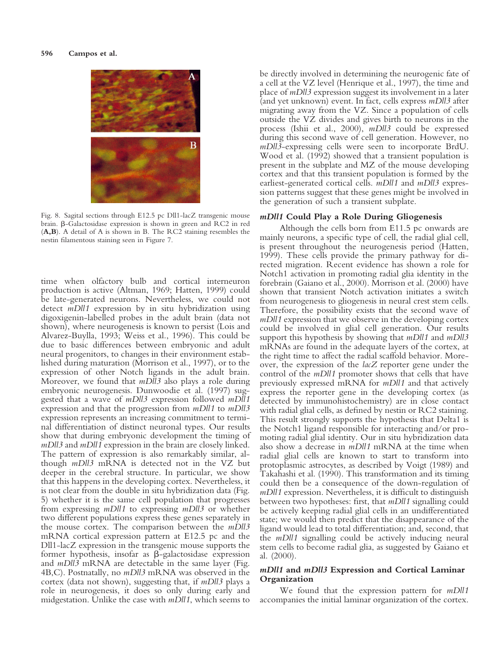

Fig. 8. Sagital sections through E12.5 pc Dll1-lacZ transgenic mouse brain. b-Galactosidase expression is shown in green and RC2 in red (**A,B**). A detail of A is shown in B. The RC2 staining resembles the nestin filamentous staining seen in Figure 7.

time when olfactory bulb and cortical interneuron production is active (Altman, 1969; Hatten, 1999) could be late-generated neurons. Nevertheless, we could not detect *mDll1* expression by in situ hybridization using digoxigenin-labelled probes in the adult brain (data not shown), where neurogenesis is known to persist (Lois and Alvarez-Buylla, 1993; Weiss et al., 1996). This could be due to basic differences between embryonic and adult neural progenitors, to changes in their environment established during maturation (Morrison et al., 1997), or to the expression of other Notch ligands in the adult brain. Moreover, we found that *mDll3* also plays a role during embryonic neurogenesis. Dunwoodie et al. (1997) suggested that a wave of *mDll3* expression followed *mDll1* expression and that the progression from *mDll1* to *mDll3* expression represents an increasing commitment to terminal differentiation of distinct neuronal types. Our results show that during embryonic development the timing of *mDll3* and *mDll1* expression in the brain are closely linked. The pattern of expression is also remarkably similar, although *mDll3* mRNA is detected not in the VZ but deeper in the cerebral structure. In particular, we show that this happens in the developing cortex. Nevertheless, it is not clear from the double in situ hybridization data (Fig. 5) whether it is the same cell population that progresses from expressing *mDll1* to expressing *mDll3* or whether two different populations express these genes separately in the mouse cortex. The comparison between the *mDll3* mRNA cortical expression pattern at E12.5 pc and the Dll1-lacZ expression in the transgenic mouse supports the former hypothesis, insofar as  $\beta$ -galactosidase expression and *mDll3* mRNA are detectable in the same layer (Fig. 4B,C). Postnatally, no *mDll3* mRNA was observed in the cortex (data not shown), suggesting that, if *mDll3* plays a role in neurogenesis, it does so only during early and midgestation. Unlike the case with *mDll1*, which seems to

be directly involved in determining the neurogenic fate of a cell at the VZ level (Henrique et al., 1997), the time and place of *mDll3* expression suggest its involvement in a later (and yet unknown) event. In fact, cells express *mDll3* after migrating away from the VZ. Since a population of cells outside the VZ divides and gives birth to neurons in the process (Ishii et al., 2000), *mDll3* could be expressed during this second wave of cell generation. However, no *mDll3*-expressing cells were seen to incorporate BrdU. Wood et al. (1992) showed that a transient population is present in the subplate and MZ of the mouse developing cortex and that this transient population is formed by the earliest-generated cortical cells. *mDll1* and *mDll3* expression patterns suggest that these genes might be involved in the generation of such a transient subplate.

#### *mDll1* **Could Play a Role During Gliogenesis**

Although the cells born from E11.5 pc onwards are mainly neurons, a specific type of cell, the radial glial cell, is present throughout the neurogenesis period (Hatten, 1999). These cells provide the primary pathway for directed migration. Recent evidence has shown a role for Notch1 activation in promoting radial glia identity in the forebrain (Gaiano et al., 2000). Morrison et al. (2000) have shown that transient Notch activation initiates a switch from neurogenesis to gliogenesis in neural crest stem cells. Therefore, the possibility exists that the second wave of *mDll1* expression that we observe in the developing cortex could be involved in glial cell generation. Our results support this hypothesis by showing that *mDll1* and *mDll3* mRNAs are found in the adequate layers of the cortex, at the right time to affect the radial scaffold behavior. Moreover, the expression of the *lacZ* reporter gene under the control of the *mDll1* promoter shows that cells that have previously expressed mRNA for *mDll1* and that actively express the reporter gene in the developing cortex (as detected by immunohistochemistry) are in close contact with radial glial cells, as defined by nestin or RC2 staining. This result strongly supports the hypothesis that Delta1 is the Notch1 ligand responsible for interacting and/or promoting radial glial identity. Our in situ hybridization data also show a decrease in *mDll1* mRNA at the time when radial glial cells are known to start to transform into protoplasmic astrocytes, as described by Voigt (1989) and Takahashi et al. (1990). This transformation and its timing could then be a consequence of the down-regulation of *mDll1* expression. Nevertheless, it is difficult to distinguish between two hypotheses: first, that *mDll1* signalling could be actively keeping radial glial cells in an undifferentiated state; we would then predict that the disappearance of the ligand would lead to total differentiation; and, second, that the *mDll1* signalling could be actively inducing neural stem cells to become radial glia, as suggested by Gaiano et al. (2000).

#### *mDll1* **and** *mDll3* **Expression and Cortical Laminar Organization**

We found that the expression pattern for *mDll1* accompanies the initial laminar organization of the cortex.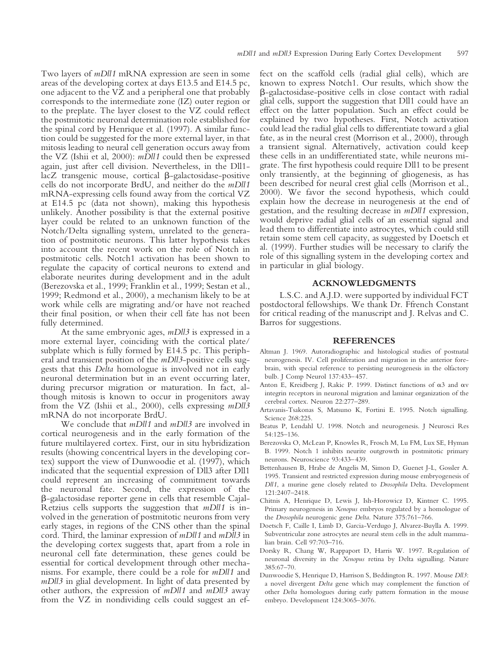Two layers of *mDll1* mRNA expression are seen in some areas of the developing cortex at days E13.5 and E14.5 pc, one adjacent to the VZ and a peripheral one that probably corresponds to the intermediate zone (IZ) outer region or to the preplate. The layer closest to the VZ could reflect the postmitotic neuronal determination role established for the spinal cord by Henrique et al. (1997). A similar function could be suggested for the more external layer, in that mitosis leading to neural cell generation occurs away from the VZ (Ishii et al, 2000): *mDll1* could then be expressed again, just after cell division. Nevertheless, in the Dll1  $lacZ$  transgenic mouse, cortical  $\beta$ -galactosidase-positive cells do not incorporate BrdU, and neither do the *mDll1* mRNA-expressing cells found away from the cortical VZ at E14.5 pc (data not shown), making this hypothesis unlikely. Another possibility is that the external positive layer could be related to an unknown function of the Notch/Delta signalling system, unrelated to the generation of postmitotic neurons. This latter hypothesis takes into account the recent work on the role of Notch in postmitotic cells. Notch1 activation has been shown to regulate the capacity of cortical neurons to extend and elaborate neurites during development and in the adult (Berezovska et al., 1999; Franklin et al., 1999; Sestan et al., 1999; Redmond et al., 2000), a mechanism likely to be at work while cells are migrating and/or have not reached their final position, or when their cell fate has not been fully determined.

At the same embryonic ages, *mDll3* is expressed in a more external layer, coinciding with the cortical plate/ subplate which is fully formed by E14.5 pc. This peripheral and transient position of the *mDll3*-positive cells suggests that this *Delta* homologue is involved not in early neuronal determination but in an event occurring later, during precursor migration or maturation. In fact, although mitosis is known to occur in progenitors away from the VZ (Ishii et al., 2000), cells expressing *mDll3* mRNA do not incorporate BrdU.

We conclude that *mDll1* and *mDll3* are involved in cortical neurogenesis and in the early formation of the future multilayered cortex. First, our in situ hybridization results (showing concentrical layers in the developing cortex) support the view of Dunwoodie et al. (1997), which indicated that the sequential expression of Dll3 after Dll1 could represent an increasing of commitment towards the neuronal fate. Second, the expression of the b-galactosidase reporter gene in cells that resemble Cajal-Retzius cells supports the suggestion that *mDll1* is involved in the generation of postmitotic neurons from very early stages, in regions of the CNS other than the spinal cord. Third, the laminar expression of *mDll1* and *mDll3* in the developing cortex suggests that, apart from a role in neuronal cell fate determination, these genes could be essential for cortical development through other mechanisms. For example, there could be a role for *mDll1* and *mDll3* in glial development. In light of data presented by other authors, the expression of *mDll1* and *mDll3* away from the VZ in nondividing cells could suggest an ef-

fect on the scaffold cells (radial glial cells), which are known to express Notch1. Our results, which show the b-galactosidase-positive cells in close contact with radial glial cells, support the suggestion that Dll1 could have an effect on the latter population. Such an effect could be explained by two hypotheses. First, Notch activation could lead the radial glial cells to differentiate toward a glial fate, as in the neural crest (Morrison et al., 2000), through a transient signal. Alternatively, activation could keep these cells in an undifferentiated state, while neurons migrate. The first hypothesis could require Dll1 to be present only transiently, at the beginning of gliogenesis, as has been described for neural crest glial cells (Morrison et al., 2000). We favor the second hypothesis, which could explain how the decrease in neurogenesis at the end of gestation, and the resulting decrease in *mDll1* expression, would deprive radial glial cells of an essential signal and lead them to differentiate into astrocytes, which could still retain some stem cell capacity, as suggested by Doetsch et al. (1999). Further studies will be necessary to clarify the role of this signalling system in the developing cortex and in particular in glial biology.

#### **ACKNOWLEDGMENTS**

L.S.C. and A.J.D. were supported by individual FCT postdoctoral fellowships. We thank Dr. Ffrench Constant for critical reading of the manuscript and J. Relvas and C. Barros for suggestions.

#### **REFERENCES**

- Altman J. 1969. Autoradiographic and histological studies of postnatal neurogenesis. IV. Cell proliferation and migration in the anterior forebrain, with special reference to persisting neurogenesis in the olfactory bulb. J Comp Neurol 137:433–457.
- Anton E, Kreidberg J, Rakic P. 1999. Distinct functions of  $\alpha$ 3 and  $\alpha$ v integrin receptors in neuronal migration and laminar organization of the cerebral cortex. Neuron 22:277–289.
- Artavanis-Tsakonas S, Matsuno K, Fortini E. 1995. Notch signalling. Science 268:225.
- Beatus P, Lendahl U. 1998. Notch and neurogenesis. J Neurosci Res 54:125–136.
- Berezovska O, McLean P, Knowles R, Frosch M, Lu FM, Lux SE, Hyman B. 1999. Notch 1 inhibits neurite outgrowth in postmitotic primary neurons. Neuroscience 93:433–439.
- Bettenhausen B, Hrabe de Angelis M, Simon D, Guenet J-L, Gossler A. 1995. Transient and restricted expression during mouse embryogenesis of *Dll1*, a murine gene closely related to *Drosophila* Delta. Development 121:2407–2418.
- Chitnis A, Henrique D, Lewis J, Ish-Horowicz D, Kintner C. 1995. Primary neurogenesis in *Xenopus* embryos regulated by a homologue of the *Drosophila* neurogenic gene *Delta*. Nature 375:761–766.
- Doetsch F, Caille I, Limb D, Garcia-Verdugo J, Alvarez-Buylla A. 1999. Subventricular zone astrocytes are neural stem cells in the adult mammalian brain. Cell 97:703–716.
- Dorsky R, Chang W, Rappaport D, Harris W. 1997. Regulation of neuronal diversity in the *Xenopus* retina by Delta signalling. Nature 385:67–70.
- Dunwoodie S, Henrique D, Harrison S, Beddington R. 1997. Mouse *Dll3*: a novel divergent *Delta* gene which may complement the function of other *Delta* homologues during early pattern formation in the mouse embryo. Development 124:3065–3076.